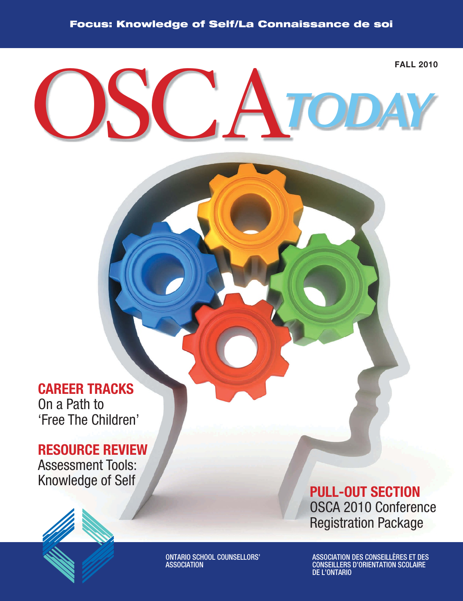# OSCA*TODAY* **FALL 2010**

## **CAREER TRACKS**

On a Path to 'Free The Children'

### **RESOURCE REVIEW**

Assessment Tools: Knowledge of Self





ONTARIO SCHOOL COUNSELLORS' ASSOCIATION

**PULL-OUT SECTION** OSCA 2010 Conference Registration Package

ASSOCIATION DES CONSEILLÈRES ET DES CONSEILLERS D'ORIENTATION SCOLAIRE DE L'ONTARIO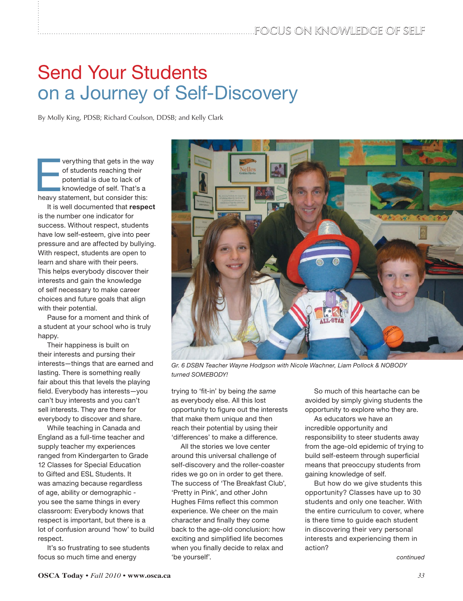# Send Your Students on a Journey of Self-Discovery

By Molly King, PDSB; Richard Coulson, DDSB; and Kelly Clark

verything that gets in the way<br>
of students reaching their<br>
potential is due to lack of<br>
knowledge of self. That's a<br>
heavy statement, but consider this: of students reaching their potential is due to lack of knowledge of self. That's a

It is well documented that **respect** is the number one indicator for success. Without respect, students have low self-esteem, give into peer pressure and are affected by bullying. With respect, students are open to learn and share with their peers. This helps everybody discover their interests and gain the knowledge of self necessary to make career choices and future goals that align with their potential.

Pause for a moment and think of a student at your school who is truly happy.

Their happiness is built on their interests and pursing their interests—things that are earned and lasting. There is something really fair about this that levels the playing field. Everybody has interests-you can't buy interests and you can't sell interests. They are there for everybody to discover and share.

While teaching in Canada and England as a full-time teacher and supply teacher my experiences ranged from Kindergarten to Grade 12 Classes for Special Education to Gifted and ESL Students. It was amazing because regardless of age, ability or demographic you see the same things in every classroom: Everybody knows that respect is important, but there is a lot of confusion around 'how' to build respect.

It's so frustrating to see students focus so much time and energy



Gr. 6 DSBN Teacher Wayne Hodgson with Nicole Wachner, Liam Pollock & NOBODY turned SOMEBODY!

trying to 'fit-in' by being the same as everybody else. All this lost opportunity to figure out the interests that make them unique and then reach their potential by using their 'differences' to make a difference.

All the stories we love center around this universal challenge of self-discovery and the roller-coaster rides we go on in order to get there. The success of 'The Breakfast Club', 'Pretty in Pink', and other John Hughes Films reflect this common experience. We cheer on the main character and finally they come back to the age-old conclusion: how exciting and simplified life becomes when you finally decide to relax and 'be yourself'.

So much of this heartache can be avoided by simply giving students the opportunity to explore who they are.

As educators we have an incredible opportunity and responsibility to steer students away from the age-old epidemic of trying to build self-esteem through superficial means that preoccupy students from gaining knowledge of self.

But how do we give students this opportunity? Classes have up to 30 students and only one teacher. With the entire curriculum to cover, where is there time to guide each student in discovering their very personal interests and experiencing them in action?

continued